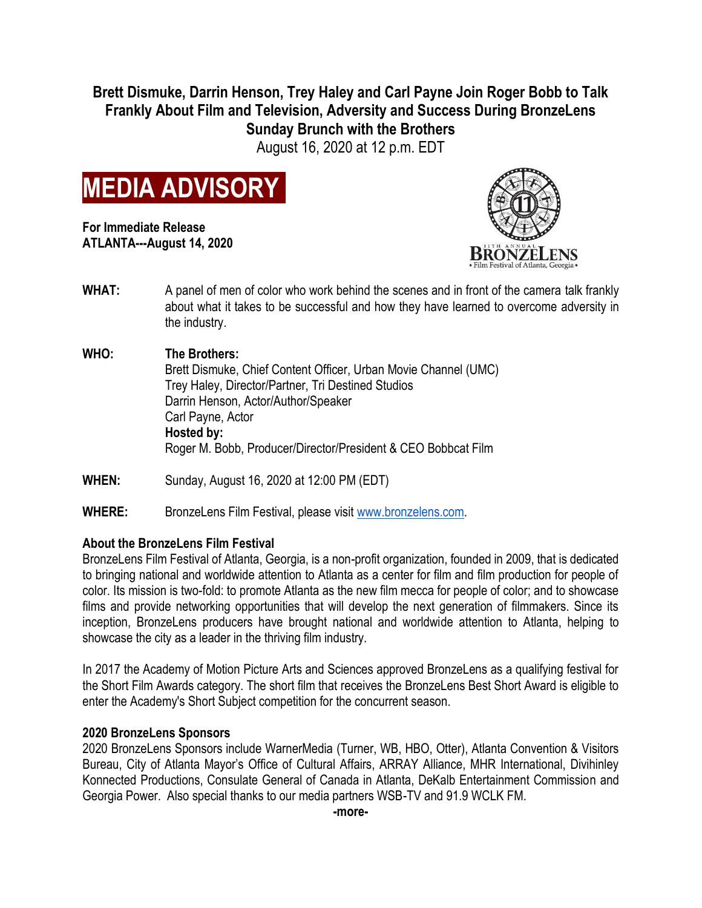**Brett Dismuke, Darrin Henson, Trey Haley and Carl Payne Join Roger Bobb to Talk Frankly About Film and Television, Adversity and Success During BronzeLens Sunday Brunch with the Brothers**

August 16, 2020 at 12 p.m. EDT



**For Immediate Release ATLANTA---August 14, 2020**



- **WHAT:** A panel of men of color who work behind the scenes and in front of the camera talk frankly about what it takes to be successful and how they have learned to overcome adversity in the industry.
- **WHO: The Brothers:** Brett Dismuke, Chief Content Officer, Urban Movie Channel (UMC) Trey Haley, Director/Partner, Tri Destined Studios Darrin Henson, Actor/Author/Speaker Carl Payne, Actor **Hosted by:** Roger M. Bobb, Producer/Director/President & CEO Bobbcat Film
- **WHEN:** Sunday, August 16, 2020 at 12:00 PM (EDT)
- **WHERE:** BronzeLens Film Festival, please visit [www.bronzelens.com.](http://www.bronzelens.com/)

## **About the BronzeLens Film Festival**

BronzeLens Film Festival of Atlanta, Georgia, is a non-profit organization, founded in 2009, that is dedicated to bringing national and worldwide attention to Atlanta as a center for film and film production for people of color. Its mission is two-fold: to promote Atlanta as the new film mecca for people of color; and to showcase films and provide networking opportunities that will develop the next generation of filmmakers. Since its inception, BronzeLens producers have brought national and worldwide attention to Atlanta, helping to showcase the city as a leader in the thriving film industry.

In 2017 the Academy of Motion Picture Arts and Sciences approved BronzeLens as a qualifying festival for the Short Film Awards category. The short film that receives the BronzeLens Best Short Award is eligible to enter the Academy's Short Subject competition for the concurrent season.

## **2020 BronzeLens Sponsors**

2020 BronzeLens Sponsors include WarnerMedia (Turner, WB, HBO, Otter), Atlanta Convention & Visitors Bureau, City of Atlanta Mayor's Office of Cultural Affairs, ARRAY Alliance, MHR International, Divihinley Konnected Productions, Consulate General of Canada in Atlanta, DeKalb Entertainment Commission and Georgia Power. Also special thanks to our media partners WSB-TV and 91.9 WCLK FM.